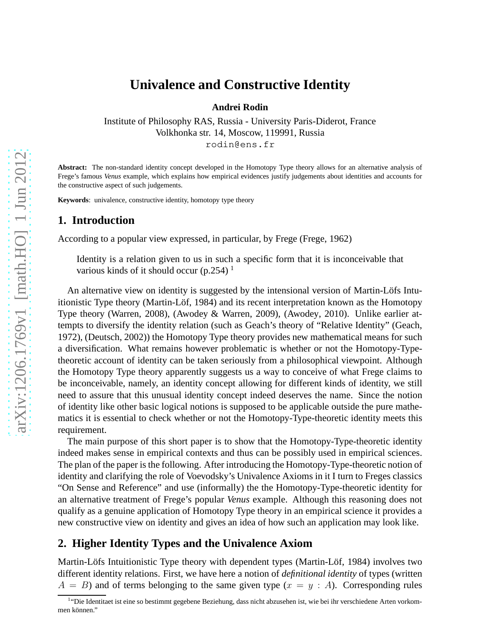# **Univalence and Constructive Identity**

**Andrei Rodin**

Institute of Philosophy RAS, Russia - University Paris-Diderot, France Volkhonka str. 14, Moscow, 119991, Russia rodin@ens.fr

**Abstract:** The non-standard identity concept developed in the Homotopy Type theory allows for an alternative analysis of Frege's famous *Venus* example, which explains how empirical evidences justify judgements about identities and accounts for the constructive aspect of such judgements.

**Keywords**: univalence, constructive identity, homotopy type theory

### **1. Introduction**

According to a popular view expressed, in particular, by Frege (Frege, 1962)

Identity is a relation given to us in such a specific form that it is inconceivable that various kinds of it should occur  $(p.254)$ <sup>1</sup>

An alternative view on identity is suggested by the intensional version of Martin-Löfs Intuitionistic Type theory (Martin-Löf, 1984) and its recent interpretation known as the Homotopy Type theory (Warren, 2008), (Awodey & Warren, 2009), (Awodey, 2010). Unlike earlier attempts to diversify the identity relation (such as Geach's theory of "Relative Identity" (Geach, 1972), (Deutsch, 2002)) the Homotopy Type theory provides new mathematical means for such a diversification. What remains however problematic is whether or not the Homotopy-Typetheoretic account of identity can be taken seriously from a philosophical viewpoint. Although the Homotopy Type theory apparently suggests us a way to conceive of what Frege claims to be inconceivable, namely, an identity concept allowing for different kinds of identity, we still need to assure that this unusual identity concept indeed deserves the name. Since the notion of identity like other basic logical notions is supposed to be applicable outside the pure mathematics it is essential to check whether or not the Homotopy-Type-theoretic identity meets this requirement.

The main purpose of this short paper is to show that the Homotopy-Type-theoretic identity indeed makes sense in empirical contexts and thus can be possibly used in empirical sciences. The plan of the paper is the following. After introducing the Homotopy-Type-theoretic notion of identity and clarifying the role of Voevodsky's Univalence Axioms in it I turn to Freges classics "On Sense and Reference" and use (informally) the the Homotopy-Type-theoretic identity for an alternative treatment of Frege's popular *Venus* example. Although this reasoning does not qualify as a genuine application of Homotopy Type theory in an empirical science it provides a new constructive view on identity and gives an idea of how such an application may look like.

### **2. Higher Identity Types and the Univalence Axiom**

Martin-Löfs Intuitionistic Type theory with dependent types (Martin-Löf, 1984) involves two different identity relations. First, we have here a notion of *definitional identity* of types (written  $A = B$ ) and of terms belonging to the same given type  $(x = y : A)$ . Corresponding rules

<sup>&</sup>lt;sup>1</sup>"Die Identitaet ist eine so bestimmt gegebene Beziehung, dass nicht abzusehen ist, wie bei ihr verschiedene Arten vorkommen können."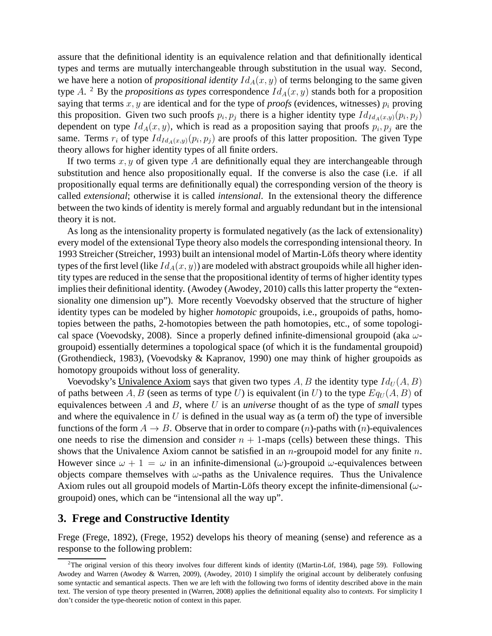assure that the definitional identity is an equivalence relation and that definitionally identical types and terms are mutually interchangeable through substitution in the usual way. Second, we have here a notion of *propositional identity*  $Id_A(x, y)$  of terms belonging to the same given type  $A$ . <sup>2</sup> By the *propositions as types* correspondence  $Id_A(x, y)$  stands both for a proposition saying that terms  $x, y$  are identical and for the type of *proofs* (evidences, witnesses)  $p_i$  proving this proposition. Given two such proofs  $p_i, p_j$  there is a higher identity type  $Id_{Id_A(x,y)}(p_i, p_j)$ dependent on type  $Id_A(x, y)$ , which is read as a proposition saying that proofs  $p_i, p_j$  are the same. Terms  $r_i$  of type  $Id_{Id_A(x,y)}(p_i, p_j)$  are proofs of this latter proposition. The given Type theory allows for higher identity types of all finite orders.

If two terms  $x, y$  of given type A are definitionally equal they are interchangeable through substitution and hence also propositionally equal. If the converse is also the case (i.e. if all propositionally equal terms are definitionally equal) the corresponding version of the theory is called *extensional*; otherwise it is called *intensional*. In the extensional theory the difference between the two kinds of identity is merely formal and arguably redundant but in the intensional theory it is not.

As long as the intensionality property is formulated negatively (as the lack of extensionality) every model of the extensional Type theory also models the corresponding intensional theory. In 1993 Streicher (Streicher, 1993) built an intensional model of Martin-Löfs theory where identity types of the first level (like  $Id_A(x, y)$ ) are modeled with abstract groupoids while all higher identity types are reduced in the sense that the propositional identity of terms of higher identity types implies their definitional identity. (Awodey (Awodey, 2010) calls this latter property the "extensionality one dimension up"). More recently Voevodsky observed that the structure of higher identity types can be modeled by higher *homotopic* groupoids, i.e., groupoids of paths, homotopies between the paths, 2-homotopies between the path homotopies, etc., of some topological space (Voevodsky, 2008). Since a properly defined infinite-dimensional groupoid (aka  $\omega$ groupoid) essentially determines a topological space (of which it is the fundamental groupoid) (Grothendieck, 1983), (Voevodsky & Kapranov, 1990) one may think of higher groupoids as homotopy groupoids without loss of generality.

Voevodsky's Univalence Axiom says that given two types A, B the identity type  $Id_U(A, B)$ of paths between A, B (seen as terms of type U) is equivalent (in U) to the type  $Eq_{U}(A, B)$  of equivalences between A and B, where U is an *universe* thought of as the type of *small* types and where the equivalence in U is defined in the usual way as (a term of) the type of inversible functions of the form  $A \to B$ . Observe that in order to compare  $(n)$ -paths with  $(n)$ -equivalences one needs to rise the dimension and consider  $n + 1$ -maps (cells) between these things. This shows that the Univalence Axiom cannot be satisfied in an  $n$ -groupoid model for any finite  $n$ . However since  $\omega + 1 = \omega$  in an infinite-dimensional ( $\omega$ )-groupoid  $\omega$ -equivalences between objects compare themselves with  $\omega$ -paths as the Univalence requires. Thus the Univalence Axiom rules out all groupoid models of Martin-Löfs theory except the infinite-dimensional ( $\omega$ groupoid) ones, which can be "intensional all the way up".

## **3. Frege and Constructive Identity**

Frege (Frege, 1892), (Frege, 1952) develops his theory of meaning (sense) and reference as a response to the following problem:

<sup>&</sup>lt;sup>2</sup>The original version of this theory involves four different kinds of identity ((Martin-Löf, 1984), page 59). Following Awodey and Warren (Awodey & Warren, 2009), (Awodey, 2010) I simplify the original account by deliberately confusing some syntactic and semantical aspects. Then we are left with the following two forms of identity described above in the main text. The version of type theory presented in (Warren, 2008) applies the definitional equality also to *contexts*. For simplicity I don't consider the type-theoretic notion of context in this paper.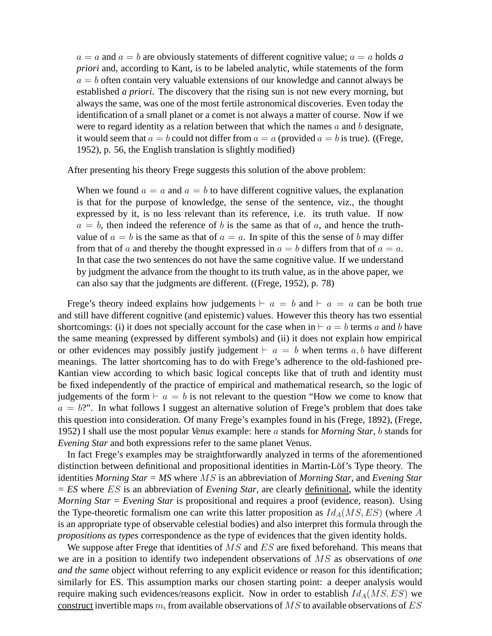$a = a$  and  $a = b$  are obviously statements of different cognitive value;  $a = a$  holds a *priori* and, according to Kant, is to be labeled analytic, while statements of the form  $a = b$  often contain very valuable extensions of our knowledge and cannot always be established *a priori*. The discovery that the rising sun is not new every morning, but always the same, was one of the most fertile astronomical discoveries. Even today the identification of a small planet or a comet is not always a matter of course. Now if we were to regard identity as a relation between that which the names  $a$  and  $b$  designate, it would seem that  $a = b$  could not differ from  $a = a$  (provided  $a = b$  is true). ((Frege, 1952), p. 56, the English translation is slightly modified)

After presenting his theory Frege suggests this solution of the above problem:

When we found  $a = a$  and  $a = b$  to have different cognitive values, the explanation is that for the purpose of knowledge, the sense of the sentence, viz., the thought expressed by it, is no less relevant than its reference, i.e. its truth value. If now  $a = b$ , then indeed the reference of b is the same as that of a, and hence the truthvalue of  $a = b$  is the same as that of  $a = a$ . In spite of this the sense of b may differ from that of a and thereby the thought expressed in  $a = b$  differs from that of  $a = a$ . In that case the two sentences do not have the same cognitive value. If we understand by judgment the advance from the thought to its truth value, as in the above paper, we can also say that the judgments are different. ((Frege, 1952), p. 78)

Frege's theory indeed explains how judgements  $\vdash a = b$  and  $\vdash a = a$  can be both true and still have different cognitive (and epistemic) values. However this theory has two essential shortcomings: (i) it does not specially account for the case when in  $\vdash a = b$  terms a and b have the same meaning (expressed by different symbols) and (ii) it does not explain how empirical or other evidences may possibly justify judgement  $\vdash a = b$  when terms a, b have different meanings. The latter shortcoming has to do with Frege's adherence to the old-fashioned pre-Kantian view according to which basic logical concepts like that of truth and identity must be fixed independently of the practice of empirical and mathematical research, so the logic of judgements of the form  $\vdash a = b$  is not relevant to the question "How we come to know that  $a = b$ ?". In what follows I suggest an alternative solution of Frege's problem that does take this question into consideration. Of many Frege's examples found in his (Frege, 1892), (Frege, 1952) I shall use the most popular *Venus* example: here a stands for *Morning Star*, b stands for *Evening Star* and both expressions refer to the same planet Venus.

In fact Frege's examples may be straightforwardly analyzed in terms of the aforementioned distinction between definitional and propositional identities in Martin-Löf's Type theory. The identities *Morning Star = MS* where MS is an abbreviation of *Morning Star*, and *Evening Star = ES* where ES is an abbreviation of *Evening Star*, are clearly definitional, while the identity *Morning Star = Evening Star* is propositional and requires a proof (evidence, reason). Using the Type-theoretic formalism one can write this latter proposition as  $Id_A(MS, ES)$  (where A is an appropriate type of observable celestial bodies) and also interpret this formula through the *propositions as types* correspondence as the type of evidences that the given identity holds.

We suppose after Frege that identities of MS and ES are fixed beforehand. This means that we are in a position to identify two independent observations of MS as observations of *one and the same* object without referring to any explicit evidence or reason for this identification; similarly for ES. This assumption marks our chosen starting point: a deeper analysis would require making such evidences/reasons explicit. Now in order to establish  $Id_A(MS, ES)$  we construct invertible maps  $m_i$  from available observations of MS to available observations of ES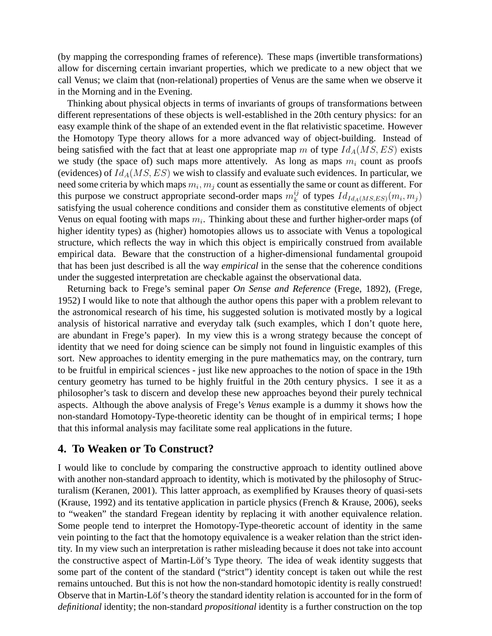(by mapping the corresponding frames of reference). These maps (invertible transformations) allow for discerning certain invariant properties, which we predicate to a new object that we call Venus; we claim that (non-relational) properties of Venus are the same when we observe it in the Morning and in the Evening.

Thinking about physical objects in terms of invariants of groups of transformations between different representations of these objects is well-established in the 20th century physics: for an easy example think of the shape of an extended event in the flat relativistic spacetime. However the Homotopy Type theory allows for a more advanced way of object-building. Instead of being satisfied with the fact that at least one appropriate map m of type  $Id_A(MS, ES)$  exists we study (the space of) such maps more attentively. As long as maps  $m_i$  count as proofs (evidences) of  $Id_A(MS, ES)$  we wish to classify and evaluate such evidences. In particular, we need some criteria by which maps  $m_i, m_j$  count as essentially the same or count as different. For this purpose we construct appropriate second-order maps  $m_k^{ij}$  $_k^{ij}$  of types  $Id_{Id_A(MS,ES)}(m_i, m_j)$ satisfying the usual coherence conditions and consider them as constitutive elements of object Venus on equal footing with maps  $m_i$ . Thinking about these and further higher-order maps (of higher identity types) as (higher) homotopies allows us to associate with Venus a topological structure, which reflects the way in which this object is empirically construed from available empirical data. Beware that the construction of a higher-dimensional fundamental groupoid that has been just described is all the way *empirical* in the sense that the coherence conditions under the suggested interpretation are checkable against the observational data.

Returning back to Frege's seminal paper *On Sense and Reference* (Frege, 1892), (Frege, 1952) I would like to note that although the author opens this paper with a problem relevant to the astronomical research of his time, his suggested solution is motivated mostly by a logical analysis of historical narrative and everyday talk (such examples, which I don't quote here, are abundant in Frege's paper). In my view this is a wrong strategy because the concept of identity that we need for doing science can be simply not found in linguistic examples of this sort. New approaches to identity emerging in the pure mathematics may, on the contrary, turn to be fruitful in empirical sciences - just like new approaches to the notion of space in the 19th century geometry has turned to be highly fruitful in the 20th century physics. I see it as a philosopher's task to discern and develop these new approaches beyond their purely technical aspects. Although the above analysis of Frege's *Venus* example is a dummy it shows how the non-standard Homotopy-Type-theoretic identity can be thought of in empirical terms; I hope that this informal analysis may facilitate some real applications in the future.

# **4. To Weaken or To Construct?**

I would like to conclude by comparing the constructive approach to identity outlined above with another non-standard approach to identity, which is motivated by the philosophy of Structuralism (Keranen, 2001). This latter approach, as exemplified by Krauses theory of quasi-sets (Krause, 1992) and its tentative application in particle physics (French & Krause, 2006), seeks to "weaken" the standard Fregean identity by replacing it with another equivalence relation. Some people tend to interpret the Homotopy-Type-theoretic account of identity in the same vein pointing to the fact that the homotopy equivalence is a weaker relation than the strict identity. In my view such an interpretation is rather misleading because it does not take into account the constructive aspect of Martin-Löf's Type theory. The idea of weak identity suggests that some part of the content of the standard ("strict") identity concept is taken out while the rest remains untouched. But this is not how the non-standard homotopic identity is really construed! Observe that in Martin-Löf's theory the standard identity relation is accounted for in the form of *definitional* identity; the non-standard *propositional* identity is a further construction on the top